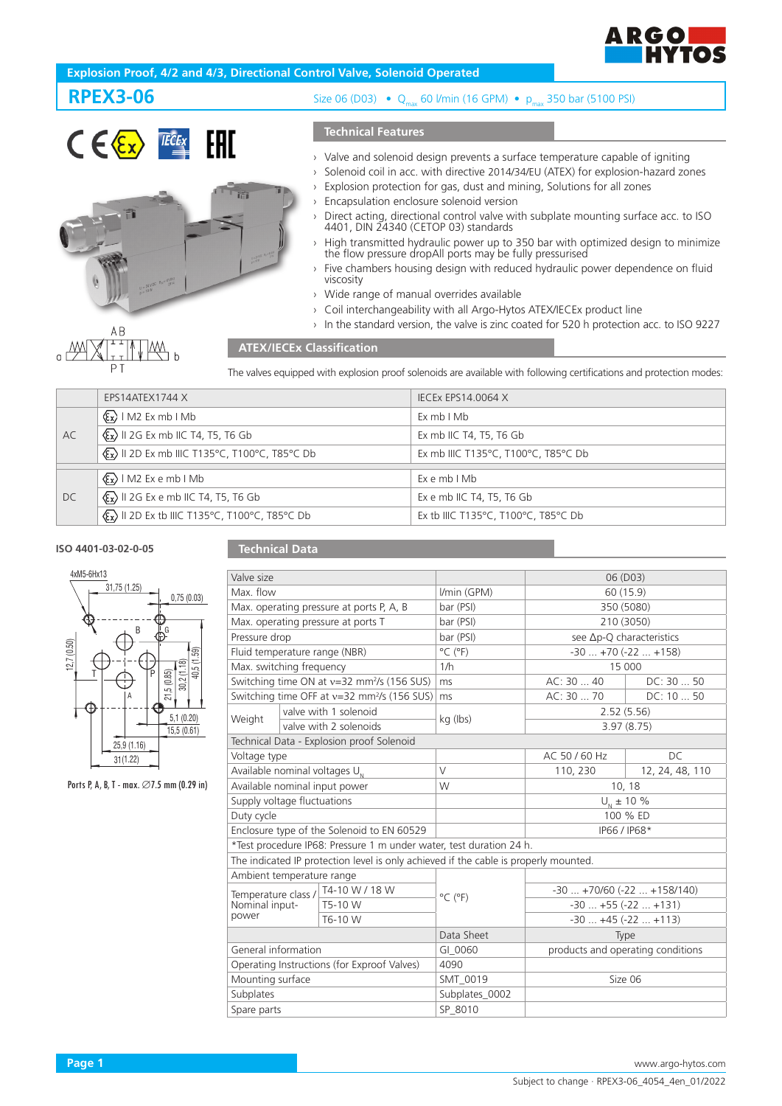

# **Explosion Proof, 4/2 and 4/3, Directional Control Valve, Solenoid Operated**

# **RPEX3-06**



# Size 06 (D03) • Q<sub>max</sub> 60 l/min (16 GPM) • p<sub>max</sub> 350 bar (5100 PSI)

## **Technical Features**

- › Valve and solenoid design prevents a surface temperature capable of igniting
- › Solenoid coil in acc. with directive 2014/34/EU (ATEX) for explosion-hazard zones
- › Explosion protection for gas, dust and mining, Solutions for all zones
- Encapsulation enclosure solenoid version
- › Direct acting, directional control valve with subplate mounting surface acc. to ISO 4401, DIN 24340 (CETOP 03) standards
- › High transmitted hydraulic power up to 350 bar with optimized design to minimize the flow pressure dropAll ports may be fully pressurised
- Five chambers housing design with reduced hydraulic power dependence on fluid viscosity
- › Wide range of manual overrides available
- › Coil interchangeability with all Argo-Hytos ATEX/IECEx product line
- › In the standard version, the valve is zinc coated for 520 h protection acc. to ISO 9227

## **ATEX/IECEx Classification**

The valves equipped with explosion proof solenoids are available with following certifications and protection modes:

|    | EPS14ATEX1744 X                                         | <b>IECEX EPS14.0064 X</b>           |  |  |
|----|---------------------------------------------------------|-------------------------------------|--|--|
| AC | $\langle \xi_{\mathbf{x}} \rangle$   M2 Ex mb   Mb      | ExmbIMb                             |  |  |
|    | $\langle x \rangle$ II 2G Ex mb IIC T4, T5, T6 Gb       | Ex mb IIC T4, T5, T6 Gb             |  |  |
|    | <b>Ex&gt; II 2D Ex mb IIIC T135°C, T100°C, T85°C Db</b> | Ex mb IIIC T135°C, T100°C, T85°C Db |  |  |
|    |                                                         |                                     |  |  |
| DC | $\langle \xi_{\mathbf{x}} \rangle$   M2 Ex e mb   Mb    | $Ex$ e mb $I$ Mb                    |  |  |
|    | $\langle x \rangle$ II 2G Ex e mb IIC T4, T5, T6 Gb     | Ex e mb IIC T4, T5, T6 Gb           |  |  |
|    | <b>Ex&gt; II 2D Ex tb IIIC T135°C, T100°C, T85°C Db</b> | Ex tb IIIC T135°C, T100°C, T85°C Db |  |  |

#### **ISO 4401-03-02-0-05**

### **Technical Data**

| 4xM5-6Hx13 |              |   |            |             |  |
|------------|--------------|---|------------|-------------|--|
|            | 31,75 (1.25) |   |            |             |  |
|            |              |   |            | 0,75(0.03)  |  |
|            |              |   |            |             |  |
|            |              | B | G          |             |  |
|            |              |   |            |             |  |
| 12.7(0.50) |              |   |            | 40,5 (1.59) |  |
|            |              | F |            | 30,2(1.18)  |  |
|            | Α            |   | 21,5(0.85) |             |  |
|            |              |   |            |             |  |
|            |              |   |            | 5,1(0.20)   |  |
|            |              |   |            | 15,5(0.61)  |  |
|            | 25,9 (1.16)  |   |            |             |  |
|            | 31(1.22)     |   |            |             |  |

Ports P, A, B, T - max. ∅7.5 mm (0.29 in)

| Valve size                                                                           |                                                                     |                              | 06 (D03)                            |                 |  |
|--------------------------------------------------------------------------------------|---------------------------------------------------------------------|------------------------------|-------------------------------------|-----------------|--|
| Max. flow                                                                            |                                                                     | I/min (GPM)                  | 60 (15.9)                           |                 |  |
| Max. operating pressure at ports P, A, B                                             |                                                                     | bar (PSI)                    | 350 (5080)                          |                 |  |
| Max. operating pressure at ports T                                                   |                                                                     | bar (PSI)                    | 210 (3050)                          |                 |  |
| Pressure drop                                                                        |                                                                     | bar (PSI)                    | see Δp-Q characteristics            |                 |  |
| Fluid temperature range (NBR)                                                        |                                                                     | $^{\circ}$ C ( $^{\circ}$ F) | $-30+70(-22+158)$                   |                 |  |
| Max. switching frequency                                                             |                                                                     | 1/h                          | 15 000                              |                 |  |
|                                                                                      | Switching time ON at v=32 mm <sup>2</sup> /s (156 SUS)              | ms                           | AC: 30 40                           | DC: 30  50      |  |
|                                                                                      | Switching time OFF at v=32 mm <sup>2</sup> /s (156 SUS)             | ms                           | AC: 30  70                          | DC: 10  50      |  |
| Weight                                                                               | valve with 1 solenoid                                               | kg (lbs)                     | 2.52(5.56)                          |                 |  |
|                                                                                      | valve with 2 solenoids                                              |                              | 3.97(8.75)                          |                 |  |
|                                                                                      | Technical Data - Explosion proof Solenoid                           |                              |                                     |                 |  |
| Voltage type                                                                         |                                                                     |                              | AC 50 / 60 Hz                       | DC.             |  |
| Available nominal voltages U <sub>N</sub>                                            |                                                                     | $\vee$                       | 110, 230                            | 12, 24, 48, 110 |  |
| Available nominal input power                                                        |                                                                     | W                            | 10, 18                              |                 |  |
| Supply voltage fluctuations                                                          |                                                                     |                              | $U_{N}$ ± 10 %                      |                 |  |
| Duty cycle                                                                           |                                                                     |                              | 100 % ED                            |                 |  |
|                                                                                      | Enclosure type of the Solenoid to EN 60529                          |                              | IP66 / IP68*                        |                 |  |
|                                                                                      | *Test procedure IP68: Pressure 1 m under water, test duration 24 h. |                              |                                     |                 |  |
| The indicated IP protection level is only achieved if the cable is properly mounted. |                                                                     |                              |                                     |                 |  |
| Ambient temperature range                                                            |                                                                     |                              |                                     |                 |  |
| T4-10 W / 18 W<br>Temperature class /                                                |                                                                     | $^{\circ}$ C ( $^{\circ}$ F) | $-30$ $+70/60$ ( $-22$ $+158/140$ ) |                 |  |
| Nominal input-                                                                       | T5-10 W                                                             |                              | $-30+55(-22+131)$                   |                 |  |
| power                                                                                | T6-10 W                                                             |                              | $-30+45(-22+113)$                   |                 |  |
|                                                                                      |                                                                     | Data Sheet                   | Type                                |                 |  |
| General information                                                                  |                                                                     | GI 0060                      | products and operating conditions   |                 |  |
| Operating Instructions (for Exproof Valves)                                          |                                                                     | 4090                         |                                     |                 |  |
| Mounting surface                                                                     |                                                                     | SMT 0019                     | Size 06                             |                 |  |
| Subplates                                                                            |                                                                     | Subplates_0002               |                                     |                 |  |
| Spare parts                                                                          |                                                                     | SP 8010                      |                                     |                 |  |
|                                                                                      |                                                                     |                              |                                     |                 |  |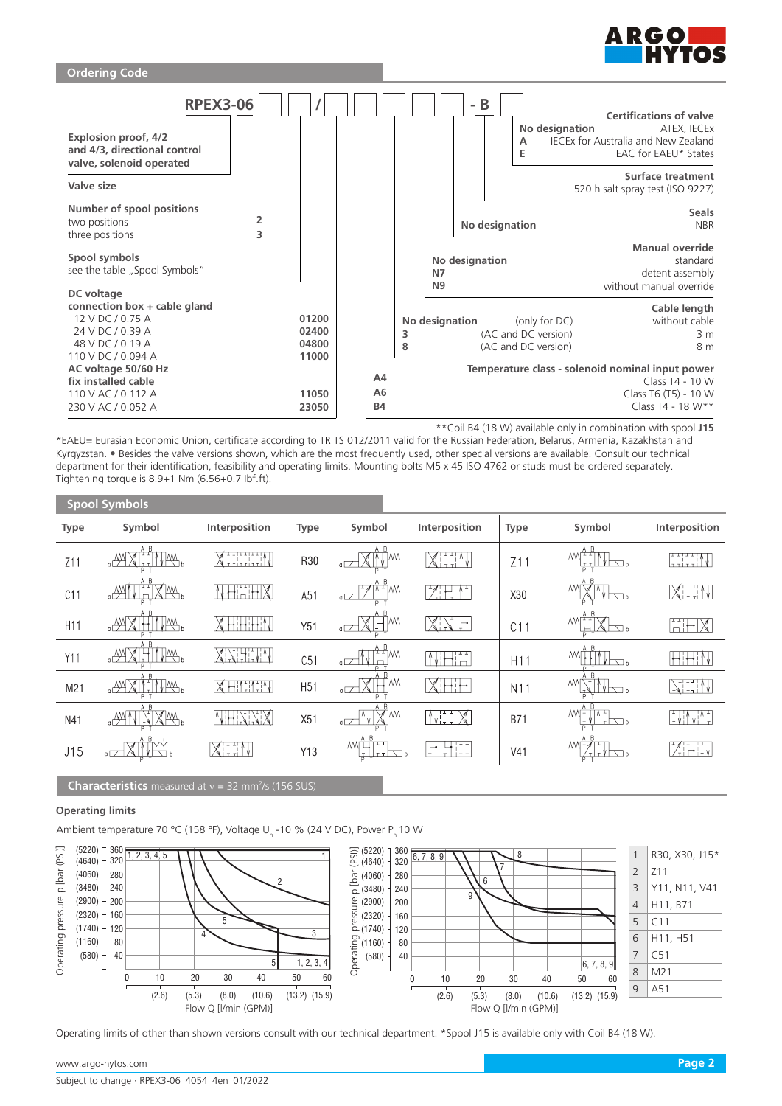



\*\*Coil B4 (18 W) available only in combination with spool **J15**

\*EAEU= Eurasian Economic Union, certificate according to TR TS 012/2011 valid for the Russian Federation, Belarus, Armenia, Kazakhstan and Kyrgyzstan. • Besides the valve versions shown, which are the most frequently used, other special versions are available. Consult our technical department for their identification, feasibility and operating limits. Mounting bolts M5 x 45 ISO 4762 or studs must be ordered separately. Tightening torque is 8.9+1 Nm (6.56+0.7 Ibf.ft).

| <b>Spool Symbols</b> |                                              |                        |                 |                                                             |                                                      |                 |                                                                                                                                                                                        |                               |
|----------------------|----------------------------------------------|------------------------|-----------------|-------------------------------------------------------------|------------------------------------------------------|-----------------|----------------------------------------------------------------------------------------------------------------------------------------------------------------------------------------|-------------------------------|
| <b>Type</b>          | Symbol                                       | Interposition          | <b>Type</b>     | Symbol                                                      | Interposition                                        | <b>Type</b>     | Symbol                                                                                                                                                                                 | Interposition                 |
| Z11                  | A B<br>$\lfloor \cdot \rfloor$<br>√₩,<br>∘∰∘ | Ximinin                | R30             | B<br>А<br>₩<br>7MM<br>$\times$ 1<br>$\sigma$                | $X$ , and $\setminus$                                | Z11             | $MN^{\underline{A} \ \underline{B}}$<br>$V \nabla b$<br>T                                                                                                                              | التتنتنا                      |
| C11                  | ΑB<br>HXM.<br>™،                             | NHEHX                  | A51             | A B<br>TA TAM<br>$\overline{a}$<br>$\overline{r}$<br>/7     | Hil                                                  | X30             | A B<br><b>MVM</b><br>$\sqrt{2}$                                                                                                                                                        | XHIN                          |
| H <sub>11</sub>      | A B<br>TM.<br>−™<br>Ħ                        | XHHHIN                 | Y51             | A B<br>XH <sup>m</sup><br>$\sigma$ $\overline{\phantom{a}}$ | XXX                                                  | C11             | $\text{MN} \begin{array}{ c c } \hline A & B \\ \hline \hline \end{array} \begin{array}{ c c } \hline \multicolumn{3}{ c }{\text{max}} & \multicolumn{3}{ c }{\text{max}} \end{array}$ | HIX                           |
| Y11                  | A B<br>√₩,                                   | XXHXI                  | C51             | A B<br>M۸۳<br>$\overline{C}$<br>$\Box$                      | <u>Nie i d</u><br>Ą.                                 | H <sub>11</sub> | A B<br>МV<br>⊤ ∛ ├─── b                                                                                                                                                                | <b>Hitti V</b>                |
| M21                  | A R<br>ITIPA.<br>$\mathbb{A}^{\mathbb{N}}$   | <b>XHININ</b>          | H <sub>51</sub> | 7M.<br>$X\boxplus$<br>$\sigma$ $\mathbb{Z}$                 | Xihihi                                               | N <sub>1</sub>  | A B<br><b>MITTAT</b><br>$V \rightarrow \rightarrow$                                                                                                                                    | $\sum_{i=1}^n$                |
| N41                  | A R<br>Am '                                  | NHNXX                  | X51             | A B<br>$\mathbb{X}^{\mathbb{M}}$<br>$\sigma$                | NHX                                                  | <b>B71</b>      | A B<br><u>WEILL</u><br>it vi<br>$\tau$ $\neg$ $\Box$                                                                                                                                   | $\sqrt{1 + \frac{1}{2}}$      |
| J15                  | A B<br>ĭ∨<br>$V \nabla b$<br>$\overline{a}$  | $X$ , if $\mathcal{N}$ | Y13             | A B<br><b>MITH</b><br>ᅐᇟ<br>$\pm$ 1 $\pm$ $\pm$ 1<br>ъ      | $11T$<br>ıН<br>$\mathbf{L}$<br>$+ \pi$<br>$1 + \tau$ | V <sub>41</sub> | A B<br>$M^{\perp}/^{\perp}$<br>∕⊤I⊤VIे Tab                                                                                                                                             | $\mathbb{Z}$ idi $\mathbb{Z}$ |

### **Characteristics** measured at  $v = 32$  mm<sup>2</sup>/s (156 SUS)

## **Operating limits**

Ambient temperature 70 °C (158 °F), Voltage U<sub>n</sub> -10 % (24 V DC), Power P<sub>n</sub> 10 W



Operating limits of other than shown versions consult with our technical department. \*Spool J15 is available only with Coil B4 (18 W).

www.argo-hytos.com **Page 2**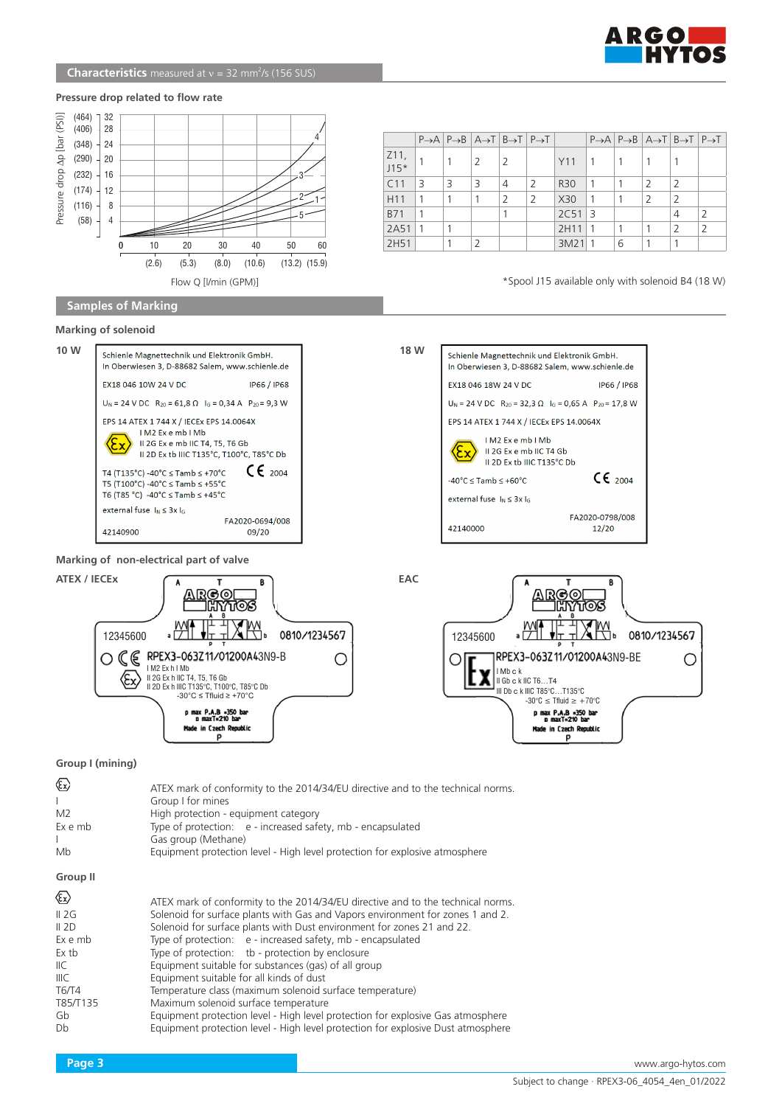

#### **Pressure drop related to flow rate**



Flow Q [l/min (GPM)]

### **Samples of Marking**

## $P\rightarrow A$   $P\rightarrow B$   $A\rightarrow T$   $B\rightarrow T$   $P\rightarrow T$   $P\rightarrow A$   $P\rightarrow B$   $A\rightarrow T$   $B\rightarrow T$   $P\rightarrow T$  $Z11, 115*$  $J_{15*}$  1 |1 |2 |2 | | | |1 |1 |1 |1 |1 C11 3 3 3 4 2 R30 1 1 2 2 H11 1 1 1 2 2 X30 1 1 2 2 B71 1 1 2C51 3 4 2 2A51 1 1 2H11 1 1 1 2 2 2H51 1 2 1 3M21 1 6 1 1

\*Spool J15 available only with solenoid B4 (18 W)

# **Marking of solenoid**







p

## **Group I (mining)**

| ☜<br>M <sub>2</sub><br>Ex e mb<br>Mb                                                     | ATEX mark of conformity to the 2014/34/EU directive and to the technical norms.<br>Group I for mines<br>High protection - equipment category<br>Type of protection: e - increased safety, mb - encapsulated<br>Gas group (Methane)<br>Equipment protection level - High level protection for explosive atmosphere                                                                                                                                                                                                                                                                                                                                                                                                                             |
|------------------------------------------------------------------------------------------|-----------------------------------------------------------------------------------------------------------------------------------------------------------------------------------------------------------------------------------------------------------------------------------------------------------------------------------------------------------------------------------------------------------------------------------------------------------------------------------------------------------------------------------------------------------------------------------------------------------------------------------------------------------------------------------------------------------------------------------------------|
| <b>Group II</b>                                                                          |                                                                                                                                                                                                                                                                                                                                                                                                                                                                                                                                                                                                                                                                                                                                               |
| ☜<br>II 2G<br>II 2D<br>Ex e mb<br>Ex tb<br>IIC.<br>IIIC<br>T6/T4<br>T85/T135<br>Gb<br>Db | ATEX mark of conformity to the 2014/34/EU directive and to the technical norms.<br>Solenoid for surface plants with Gas and Vapors environment for zones 1 and 2.<br>Solenoid for surface plants with Dust environment for zones 21 and 22.<br>Type of protection: e - increased safety, mb - encapsulated<br>Type of protection: tb - protection by enclosure<br>Equipment suitable for substances (gas) of all group<br>Equipment suitable for all kinds of dust<br>Temperature class (maximum solenoid surface temperature)<br>Maximum solenoid surface temperature<br>Equipment protection level - High level protection for explosive Gas atmosphere<br>Equipment protection level - High level protection for explosive Dust atmosphere |